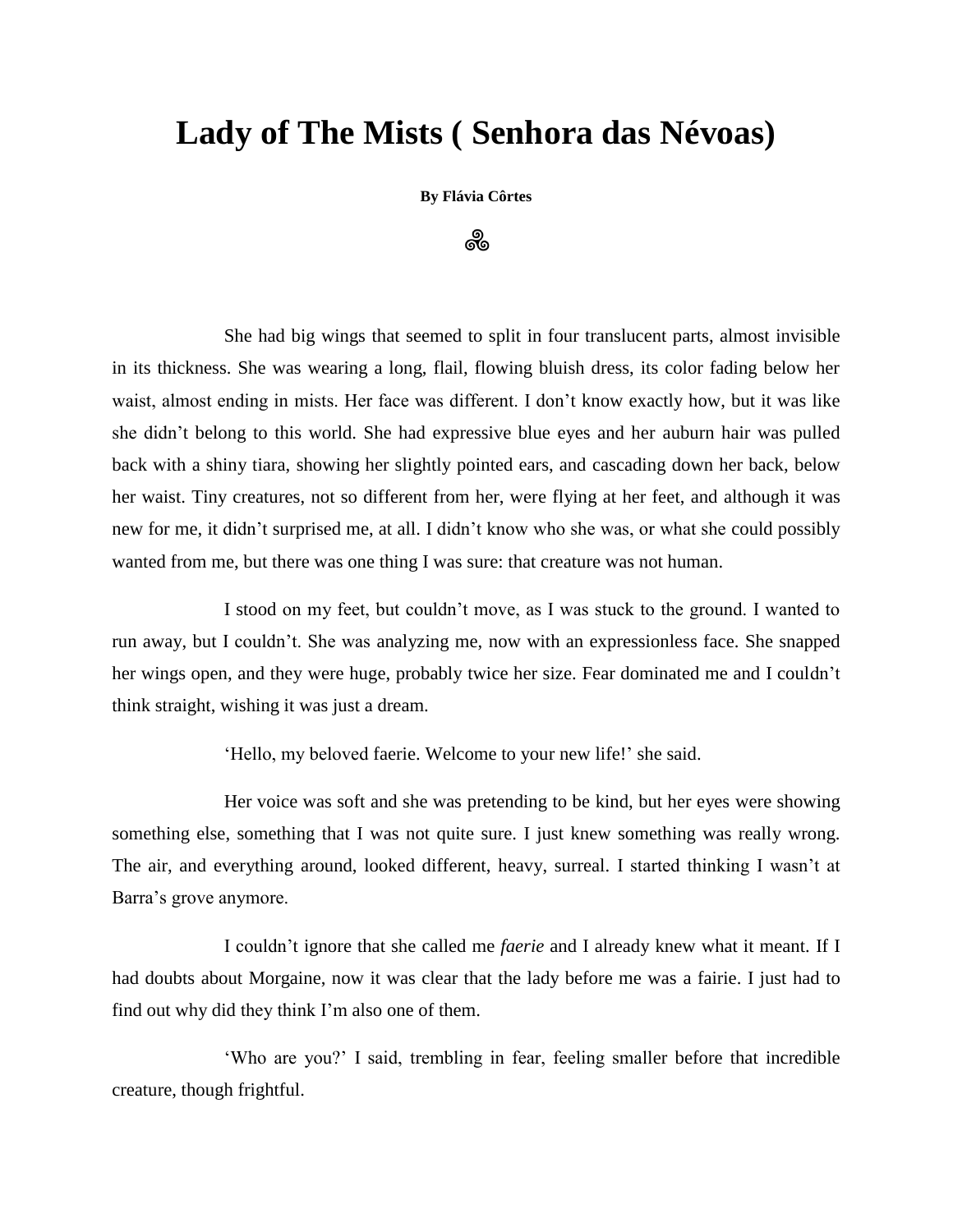## **Lady of The Mists ( Senhora das Névoas)**

**By Flávia Côrtes**

ஃ

She had big wings that seemed to split in four translucent parts, almost invisible in its thickness. She was wearing a long, flail, flowing bluish dress, its color fading below her waist, almost ending in mists. Her face was different. I don't know exactly how, but it was like she didn't belong to this world. She had expressive blue eyes and her auburn hair was pulled back with a shiny tiara, showing her slightly pointed ears, and cascading down her back, below her waist. Tiny creatures, not so different from her, were flying at her feet, and although it was new for me, it didn't surprised me, at all. I didn't know who she was, or what she could possibly wanted from me, but there was one thing I was sure: that creature was not human.

I stood on my feet, but couldn't move, as I was stuck to the ground. I wanted to run away, but I couldn't. She was analyzing me, now with an expressionless face. She snapped her wings open, and they were huge, probably twice her size. Fear dominated me and I couldn't think straight, wishing it was just a dream.

'Hello, my beloved faerie. Welcome to your new life!' she said.

Her voice was soft and she was pretending to be kind, but her eyes were showing something else, something that I was not quite sure. I just knew something was really wrong. The air, and everything around, looked different, heavy, surreal. I started thinking I wasn't at Barra's grove anymore.

I couldn't ignore that she called me *faerie* and I already knew what it meant. If I had doubts about Morgaine, now it was clear that the lady before me was a fairie. I just had to find out why did they think I'm also one of them.

'Who are you?' I said, trembling in fear, feeling smaller before that incredible creature, though frightful.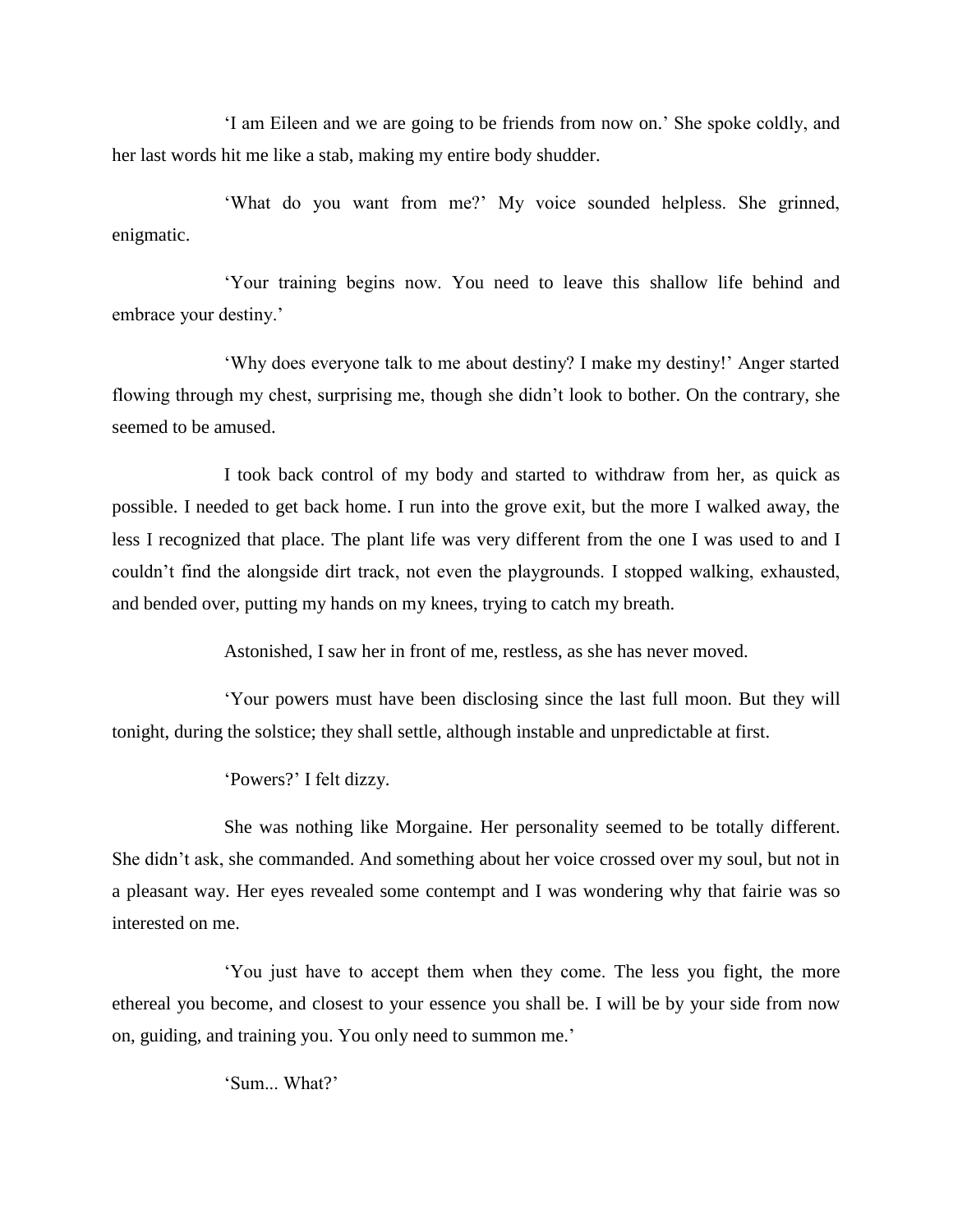'I am Eileen and we are going to be friends from now on.' She spoke coldly, and her last words hit me like a stab, making my entire body shudder.

'What do you want from me?' My voice sounded helpless. She grinned, enigmatic.

'Your training begins now. You need to leave this shallow life behind and embrace your destiny.'

'Why does everyone talk to me about destiny? I make my destiny!' Anger started flowing through my chest, surprising me, though she didn't look to bother. On the contrary, she seemed to be amused.

I took back control of my body and started to withdraw from her, as quick as possible. I needed to get back home. I run into the grove exit, but the more I walked away, the less I recognized that place. The plant life was very different from the one I was used to and I couldn't find the alongside dirt track, not even the playgrounds. I stopped walking, exhausted, and bended over, putting my hands on my knees, trying to catch my breath.

Astonished, I saw her in front of me, restless, as she has never moved.

'Your powers must have been disclosing since the last full moon. But they will tonight, during the solstice; they shall settle, although instable and unpredictable at first.

'Powers?' I felt dizzy.

She was nothing like Morgaine. Her personality seemed to be totally different. She didn't ask, she commanded. And something about her voice crossed over my soul, but not in a pleasant way. Her eyes revealed some contempt and I was wondering why that fairie was so interested on me.

'You just have to accept them when they come. The less you fight, the more ethereal you become, and closest to your essence you shall be. I will be by your side from now on, guiding, and training you. You only need to summon me.'

'Sum. What?'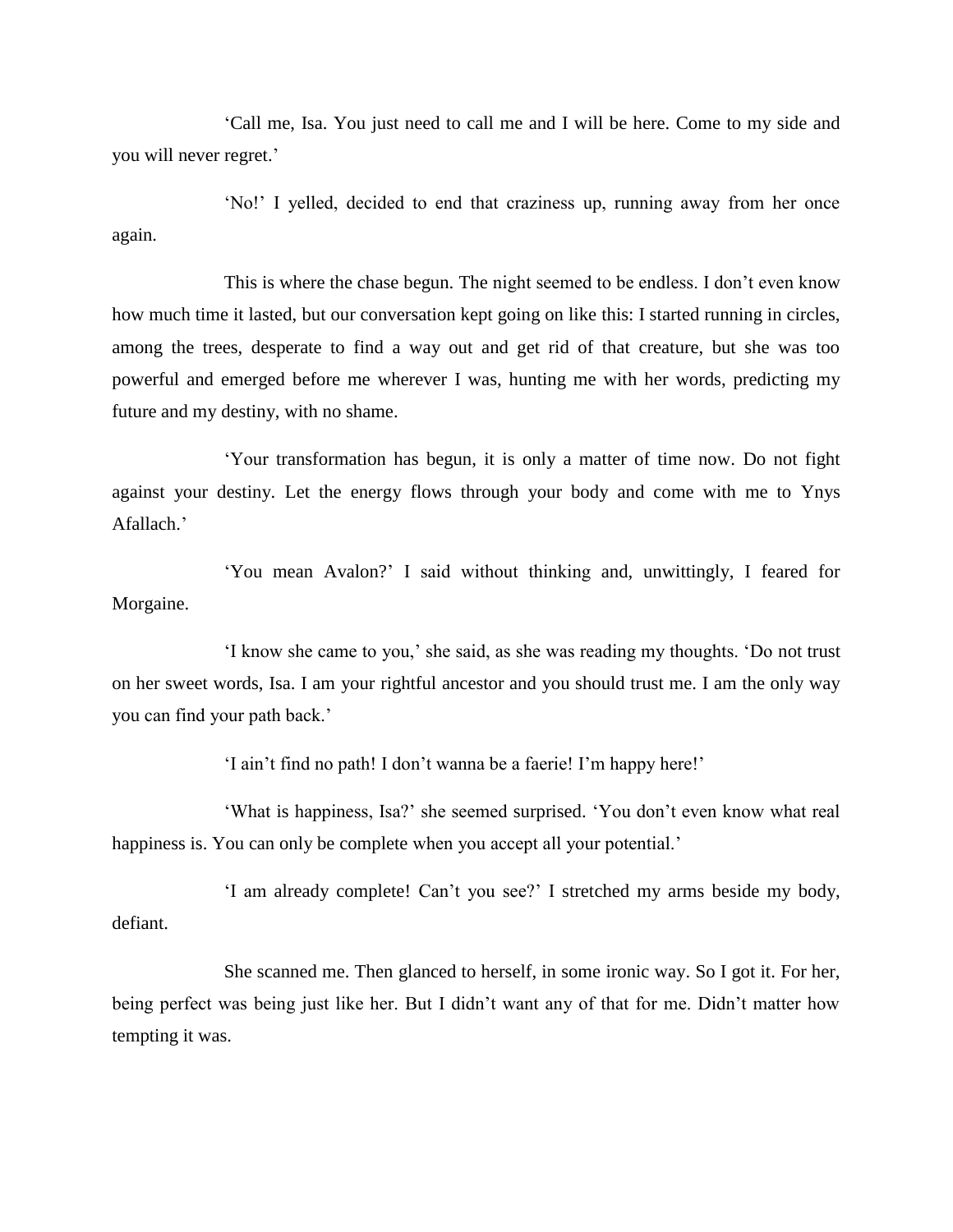'Call me, Isa. You just need to call me and I will be here. Come to my side and you will never regret.'

'No!' I yelled, decided to end that craziness up, running away from her once again.

This is where the chase begun. The night seemed to be endless. I don't even know how much time it lasted, but our conversation kept going on like this: I started running in circles, among the trees, desperate to find a way out and get rid of that creature, but she was too powerful and emerged before me wherever I was, hunting me with her words, predicting my future and my destiny, with no shame.

'Your transformation has begun, it is only a matter of time now. Do not fight against your destiny. Let the energy flows through your body and come with me to Ynys Afallach.'

'You mean Avalon?' I said without thinking and, unwittingly, I feared for Morgaine.

'I know she came to you,' she said, as she was reading my thoughts. 'Do not trust on her sweet words, Isa. I am your rightful ancestor and you should trust me. I am the only way you can find your path back.'

'I ain't find no path! I don't wanna be a faerie! I'm happy here!'

'What is happiness, Isa?' she seemed surprised. 'You don't even know what real happiness is. You can only be complete when you accept all your potential.'

'I am already complete! Can't you see?' I stretched my arms beside my body, defiant.

She scanned me. Then glanced to herself, in some ironic way. So I got it. For her, being perfect was being just like her. But I didn't want any of that for me. Didn't matter how tempting it was.